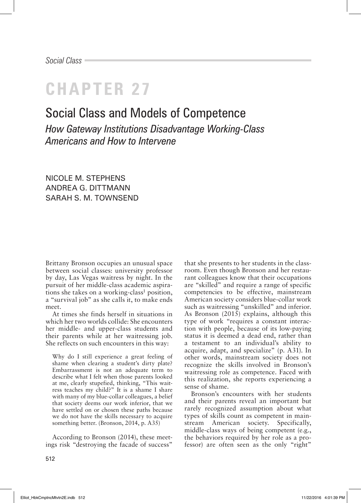*Social Class*

# **CHAPTER 27**

# Social Class and Models of Competence

*How Gateway Institutions Disadvantage Working‑Class Americans and How to Intervene*

NICOLE M. STEPHENS ANDREA G. DITTMANN SARAH S. M. TOWNSEND

Brittany Bronson occupies an unusual space between social classes: university professor by day, Las Vegas waitress by night. In the pursuit of her middle-class academic aspirations she takes on a working-class<sup>1</sup> position, a "survival job" as she calls it, to make ends meet.

At times she finds herself in situations in which her two worlds collide: She encounters her middle- and upper-class students and their parents while at her waitressing job. She reflects on such encounters in this way:

Why do I still experience a great feeling of shame when clearing a student's dirty plate? Embarrassment is not an adequate term to describe what I felt when those parents looked at me, clearly stupefied, thinking, "This waitress teaches my child?" It is a shame I share with many of my blue-collar colleagues, a belief that society deems our work inferior, that we have settled on or chosen these paths because we do not have the skills necessary to acquire something better. (Bronson, 2014, p. A35)

According to Bronson (2014), these meetings risk "destroying the facade of success" that she presents to her students in the classroom. Even though Bronson and her restaurant colleagues know that their occupations are "skilled" and require a range of specific competencies to be effective, mainstream American society considers blue-collar work such as waitressing "unskilled" and inferior. As Bronson (2015) explains, although this type of work "requires a constant interaction with people, because of its low-paying status it is deemed a dead end, rather than a testament to an individual's ability to acquire, adapt, and specialize" (p. A31). In other words, mainstream society does not recognize the skills involved in Bronson's waitressing role as competence. Faced with this realization, she reports experiencing a sense of shame.

Bronson's encounters with her students and their parents reveal an important but rarely recognized assumption about what types of skills count as competent in mainstream American society. Specifically, middle-class ways of being competent (e.g., the behaviors required by her role as a professor) are often seen as the only "right"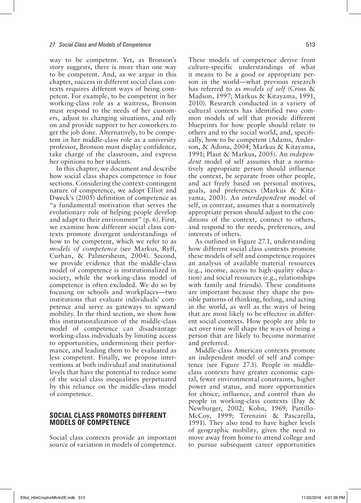way to be competent. Yet, as Bronson's story suggests, there is more than one way to be competent. And, as we argue in this chapter, success in different social class contexts requires different ways of being competent. For example, to be competent in her working-class role as a waitress, Bronson must respond to the needs of her customers, adjust to changing situations, and rely on and provide support to her coworkers to get the job done. Alternatively, to be competent in her middle-class role as a university professor, Bronson must display confidence, take charge of the classroom, and express her opinions to her students.

In this chapter, we document and describe how social class shapes competence in four sections. Considering the context-contingent nature of competence, we adopt Elliot and Dweck's (2005) definition of competence as "a fundamental motivation that serves the evolutionary role of helping people develop and adapt to their environment" (p. 6). First, we examine how different social class contexts promote divergent understandings of how to be competent, which we refer to as *models of competence* (see Markus, Ryff, Curhan, & Palmersheim, 2004). Second, we provide evidence that the middle-class model of competence is institutionalized in society, while the working-class model of competence is often excluded. We do so by focusing on schools and workplaces—two institutions that evaluate individuals' competence and serve as gateways to upward mobility. In the third section, we show how this institutionalization of the middle-class model of competence can disadvantage working-class individuals by limiting access to opportunities, undermining their performance, and leading them to be evaluated as less competent. Finally, we propose interventions at both individual and institutional levels that have the potential to reduce some of the social class inequalities perpetuated by this reliance on the middle-class model of competence.

# **SOCIAL CLASS PROMOTES DIFFERENT MODELS OF COMPETENCE**

Social class contexts provide an important source of variation in models of competence. These models of competence derive from culture-specific understandings of what it means to be a good or appropriate person in the world—what previous research has referred to as *models of self* (Cross & Madson, 1997; Markus & Kitayama, 1991, 2010). Research conducted in a variety of cultural contexts has identified two common models of self that provide different blueprints for how people should relate to others and to the social world, and, specifically, how to be competent (Adams, Anderson, & Adonu, 2004; Markus & Kitayama, 1991; Plaut & Markus, 2005). An *independent* model of self assumes that a normatively appropriate person should influence the context, be separate from other people, and act freely based on personal motives, goals, and preferences (Markus & Kitayama, 2003). An *interdependent* model of self, in contrast, assumes that a normatively appropriate person should adjust to the conditions of the context, connect to others, and respond to the needs, preferences, and interests of others.

As outlined in Figure 27.1, understanding how different social class contexts promote these models of self and competence requires an analysis of available material resources (e.g., income, access to high-quality education) and social resources (e.g., relationships with family and friends). These conditions are important because they shape the possible patterns of thinking, feeling, and acting in the world, as well as the ways of being that are most likely to be effective in different social contexts. How people are able to act over time will shape the ways of being a person that are likely to become normative and preferred.

Middle-class American contexts promote an independent model of self and competence (see Figure 27.1). People in middleclass contexts have greater economic capital, fewer environmental constraints, higher power and status, and more opportunities for choice, influence, and control than do people in working-class contexts (Day & Newburger, 2002; Kohn, 1969; Pattillo-McCoy, 1999; Terenzini & Pascarella, 1991). They also tend to have higher levels of geographic mobility, given the need to move away from home to attend college and to pursue subsequent career opportunities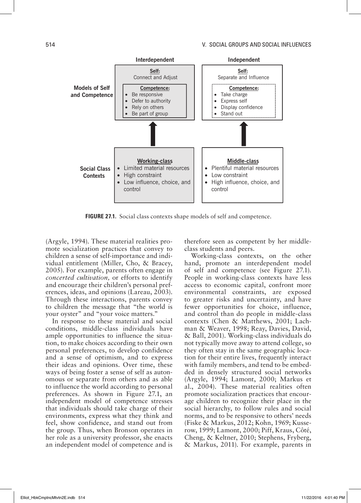

**FIGURE 27.1.** Social class contexts shape models of self and competence.

(Argyle, 1994). These material realities promote socialization practices that convey to children a sense of self-importance and individual entitlement (Miller, Cho, & Bracey, 2005). For example, parents often engage in *concerted cultivation,* or efforts to identify and encourage their children's personal preferences, ideas, and opinions (Lareau, 2003). Through these interactions, parents convey to children the message that "the world is your oyster" and "your voice matters."

In response to these material and social conditions, middle-class individuals have ample opportunities to influence the situation, to make choices according to their own personal preferences, to develop confidence and a sense of optimism, and to express their ideas and opinions. Over time, these ways of being foster a sense of self as autonomous or separate from others and as able to influence the world according to personal preferences. As shown in Figure 27.1, an independent model of competence stresses that individuals should take charge of their environments, express what they think and feel, show confidence, and stand out from the group. Thus, when Bronson operates in her role as a university professor, she enacts an independent model of competence and is therefore seen as competent by her middleclass students and peers.

Working-class contexts, on the other hand, promote an interdependent model of self and competence (see Figure 27.1). People in working-class contexts have less access to economic capital, confront more environmental constraints, are exposed to greater risks and uncertainty, and have fewer opportunities for choice, influence, and control than do people in middle-class contexts (Chen & Matthews, 2001; Lachman & Weaver, 1998; Reay, Davies, David, & Ball, 2001). Working-class individuals do not typically move away to attend college, so they often stay in the same geographic location for their entire lives, frequently interact with family members, and tend to be embedded in densely structured social networks (Argyle, 1994; Lamont, 2000; Markus et al., 2004). These material realities often promote socialization practices that encourage children to recognize their place in the social hierarchy, to follow rules and social norms, and to be responsive to others' needs (Fiske & Markus, 2012; Kohn, 1969; Kusserow, 1999; Lamont, 2000; Piff, Kraus, Côté, Cheng, & Keltner, 2010; Stephens, Fryberg, & Markus, 2011). For example, parents in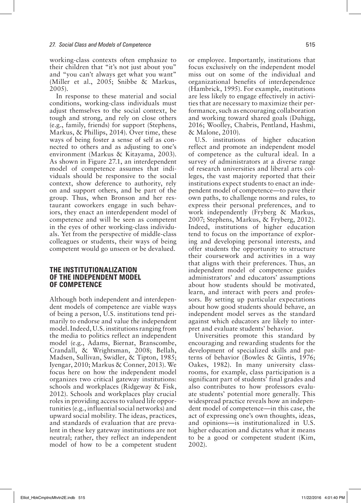working-class contexts often emphasize to their children that "it's not just about you" and "you can't always get what you want" (Miller et al., 2005; Snibbe & Markus, 2005).

In response to these material and social conditions, working-class individuals must adjust themselves to the social context, be tough and strong, and rely on close others (e.g., family, friends) for support (Stephens, Markus, & Phillips, 2014). Over time, these ways of being foster a sense of self as connected to others and as adjusting to one's environment (Markus & Kitayama, 2003). As shown in Figure 27.1, an interdependent model of competence assumes that individuals should be responsive to the social context, show deference to authority, rely on and support others, and be part of the group. Thus, when Bronson and her restaurant coworkers engage in such behaviors, they enact an interdependent model of competence and will be seen as competent in the eyes of other working-class individuals. Yet from the perspective of middle-class colleagues or students, their ways of being competent would go unseen or be devalued.

# **THE INSTITUTIONALIZATION OF THE INDEPENDENT MODEL OF COMPETENCE**

Although both independent and interdependent models of competence are viable ways of being a person, U.S. institutions tend primarily to endorse and value the independent model. Indeed, U.S. institutions ranging from the media to politics reflect an independent model (e.g., Adams, Biernat, Branscombe, Crandall, & Wrightsman, 2008; Bellah, Madsen, Sullivan, Swidler, & Tipton, 1985; Iyengar, 2010; Markus & Conner, 2013). We focus here on how the independent model organizes two critical gateway institutions: schools and workplaces (Ridgeway & Fisk, 2012). Schools and workplaces play crucial roles in providing access to valued life opportunities (e.g., influential social networks) and upward social mobility. The ideas, practices, and standards of evaluation that are prevalent in these key gateway institutions are not neutral; rather, they reflect an independent model of how to be a competent student

or employee. Importantly, institutions that focus exclusively on the independent model miss out on some of the individual and organizational benefits of interdependence (Hambrick, 1995). For example, institutions are less likely to engage effectively in activities that are necessary to maximize their performance, such as encouraging collaboration and working toward shared goals (Duhigg, 2016; Woolley, Chabris, Pentland, Hashmi, & Malone, 2010).

U.S. institutions of higher education reflect and promote an independent model of competence as the cultural ideal. In a survey of administrators at a diverse range of research universities and liberal arts colleges, the vast majority reported that their institutions expect students to enact an independent model of competence—to pave their own paths, to challenge norms and rules, to express their personal preferences, and to work independently (Fryberg & Markus, 2007; Stephens, Markus, & Fryberg, 2012). Indeed, institutions of higher education tend to focus on the importance of exploring and developing personal interests, and offer students the opportunity to structure their coursework and activities in a way that aligns with their preferences. Thus, an independent model of competence guides administrators' and educators' assumptions about how students should be motivated, learn, and interact with peers and professors. By setting up particular expectations about how good students should behave, an independent model serves as the standard against which educators are likely to interpret and evaluate students' behavior.

Universities promote this standard by encouraging and rewarding students for the development of specialized skills and patterns of behavior (Bowles & Gintis, 1976; Oakes, 1982). In many university classrooms, for example, class participation is a significant part of students' final grades and also contributes to how professors evaluate students' potential more generally. This widespread practice reveals how an independent model of competence—in this case, the act of expressing one's own thoughts, ideas, and opinions—is institutionalized in U.S. higher education and dictates what it means to be a good or competent student (Kim, 2002).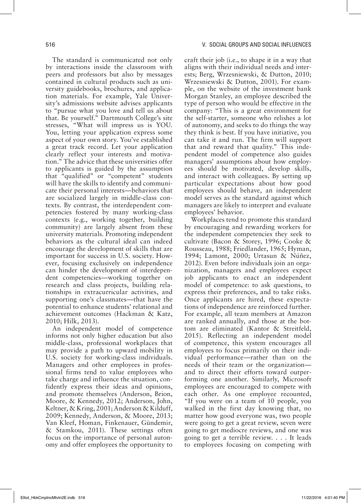The standard is communicated not only by interactions inside the classroom with peers and professors but also by messages contained in cultural products such as university guidebooks, brochures, and application materials. For example, Yale University's admissions website advises applicants to "pursue what you love and tell us about that. Be yourself." Dartmouth College's site stresses, "What will impress us is YOU. You, letting your application express some aspect of your own story. You've established a great track record. Let your application clearly reflect your interests and motivation." The advice that these universities offer to applicants is guided by the assumption that "qualified" or "competent" students will have the skills to identify and communicate their personal interests—behaviors that are socialized largely in middle-class contexts. By contrast, the interdependent competencies fostered by many working-class contexts (e.g., working together, building community) are largely absent from these university materials. Promoting independent behaviors as the cultural ideal can indeed encourage the development of skills that are important for success in U.S. society. However, focusing exclusively on independence can hinder the development of interdependent competencies—working together on research and class projects, building relationships in extracurricular activities, and supporting one's classmates—that have the potential to enhance students' relational and achievement outcomes (Hackman & Katz, 2010; Hilk, 2013).

An independent model of competence informs not only higher education but also middle-class, professional workplaces that may provide a path to upward mobility in U.S. society for working-class individuals. Managers and other employees in professional firms tend to value employees who take charge and influence the situation, confidently express their ideas and opinions, and promote themselves (Anderson, Brion, Moore, & Kennedy, 2012; Anderson, John, Keltner, & Kring, 2001; Anderson & Kilduff, 2009; Kennedy, Anderson, & Moore, 2013; Van Kleef, Homan, Finkenauer, Gündemir, & Stamkou, 2011). These settings often focus on the importance of personal autonomy and offer employees the opportunity to

#### 516 V. SOCIAL GROUPS AND SOCIAL INFLUENCES

craft their job (i.e., to shape it in a way that aligns with their individual needs and interests; Berg, Wrzesniewski, & Dutton, 2010; Wrzesniewski & Dutton, 2001). For example, on the website of the investment bank Morgan Stanley, an employee described the type of person who would be effective in the company: "This is a great environment for the self-starter, someone who relishes a lot of autonomy, and seeks to do things the way they think is best. If you have initiative, you can take it and run. The firm will support that and reward that quality." This independent model of competence also guides managers' assumptions about how employees should be motivated, develop skills, and interact with colleagues. By setting up particular expectations about how good employees should behave, an independent model serves as the standard against which managers are likely to interpret and evaluate employees' behavior.

Workplaces tend to promote this standard by encouraging and rewarding workers for the independent competencies they seek to cultivate (Bacon & Storey, 1996; Cooke & Rousseau, 1988; Friedlander, 1965; Hyman, 1994; Lamont, 2000; Urtasun & Núñez, 2012). Even before individuals join an organization, managers and employees expect job applicants to enact an independent model of competence: to ask questions, to express their preferences, and to take risks. Once applicants are hired, these expectations of independence are reinforced further. For example, all team members at Amazon are ranked annually, and those at the bottom are eliminated (Kantor & Streitfeld, 2015). Reflecting an independent model of competence, this system encourages all employees to focus primarily on their individual performance—rather than on the needs of their team or the organization and to direct their efforts toward outperforming one another. Similarly, Microsoft employees are encouraged to compete with each other. As one employee recounted, "If you were on a team of 10 people, you walked in the first day knowing that, no matter how good everyone was, two people were going to get a great review, seven were going to get mediocre reviews, and one was going to get a terrible review. . . . It leads to employees focusing on competing with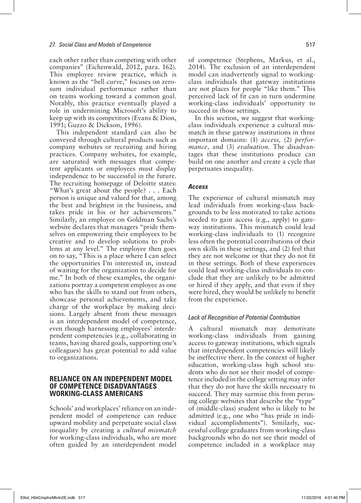each other rather than competing with other companies" (Eichenwald, 2012, para. 162). This employee review practice, which is known as the "bell curve," focuses on zerosum individual performance rather than on teams working toward a common goal. Notably, this practice eventually played a role in undermining Microsoft's ability to keep up with its competitors (Evans & Dion, 1991; Guzzo & Dickson, 1996).

This independent standard can also be conveyed through cultural products such as company websites or recruiting and hiring practices. Company websites, for example, are saturated with messages that competent applicants or employees must display independence to be successful in the future. The recruiting homepage of Deloitte states: "What's great about the people? . . . Each person is unique and valued for that, among the best and brightest in the business, and takes pride in his or her achievements." Similarly, an employee on Goldman Sachs's website declares that managers "pride themselves on empowering their employees to be creative and to develop solutions to problems at any level." The employee then goes on to say, "This is a place where I can select the opportunities I'm interested in, instead of waiting for the organization to decide for me." In both of these examples, the organizations portray a competent employee as one who has the skills to stand out from others, showcase personal achievements, and take charge of the workplace by making decisions. Largely absent from these messages is an interdependent model of competence, even though harnessing employees' interdependent competencies (e.g., collaborating in teams, having shared goals, supporting one's colleagues) has great potential to add value to organizations.

# **RELIANCE ON AN INDEPENDENT MODEL OF COMPETENCE DISADVANTAGES WORKING-CLASS AMERICANS**

Schools' and workplaces' reliance on an independent model of competence can reduce upward mobility and perpetuate social class inequality by creating a *cultural mismatch* for working-class individuals, who are more often guided by an interdependent model

of competence (Stephens, Markus, et al., 2014). The exclusion of an interdependent model can inadvertently signal to workingclass individuals that gateway institutions are not places for people "like them." This perceived lack of fit can in turn undermine working-class individuals' opportunity to succeed in those settings.

In this section, we suggest that workingclass individuals experience a cultural mismatch in these gateway institutions in three important domains: (1) *access,* (2) *performance,* and (3) *evaluation*. The disadvantages that these institutions produce can build on one another and create a cycle that perpetuates inequality.

# *Access*

The experience of cultural mismatch may lead individuals from working-class backgrounds to be less motivated to take actions needed to gain access (e.g., apply) to gateway institutions. This mismatch could lead working-class individuals to (1) recognize less often the potential contributions of their own skills in these settings, and (2) feel that they are not welcome or that they do not fit in these settings. Both of these experiences could lead working-class individuals to conclude that they are unlikely to be admitted or hired if they apply, and that even if they were hired, they would be unlikely to benefit from the experience.

# *Lack of Recognition of Potential Contribution*

A cultural mismatch may demotivate working-class individuals from gaining access to gateway institutions, which signals that interdependent competencies will likely be ineffective there. In the context of higher education, working-class high school students who do not see their model of competence included in the college setting may infer that they do not have the skills necessary to succeed. They may surmise this from perusing college websites that describe the "type" of (middle-class) student who is likely to be admitted (e.g., one who "has pride in individual accomplishments"). Similarly, successful college graduates from working-class backgrounds who do not see their model of competence included in a workplace may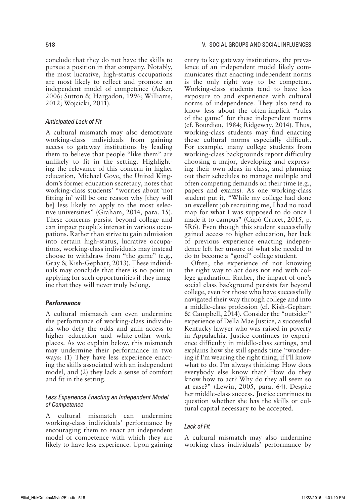conclude that they do not have the skills to pursue a position in that company. Notably, the most lucrative, high-status occupations are most likely to reflect and promote an independent model of competence (Acker, 2006; Sutton & Hargadon, 1996; Williams, 2012; Wojcicki, 2011).

## *Anticipated Lack of Fit*

A cultural mismatch may also demotivate working-class individuals from gaining access to gateway institutions by leading them to believe that people "like them" are unlikely to fit in the setting. Highlighting the relevance of this concern in higher education, Michael Gove, the United Kingdom's former education secretary, notes that working-class students' "worries about 'not fitting in' will be one reason why [they will be] less likely to apply to the most selective universities" (Graham, 2014, para. 15). These concerns persist beyond college and can impact people's interest in various occupations. Rather than strive to gain admission into certain high-status, lucrative occupations, working-class individuals may instead choose to withdraw from "the game" (e.g., Gray & Kish-Gephart, 2013). These individuals may conclude that there is no point in applying for such opportunities if they imagine that they will never truly belong.

#### *Performance*

A cultural mismatch can even undermine the performance of working-class individuals who defy the odds and gain access to higher education and white-collar workplaces. As we explain below, this mismatch may undermine their performance in two ways: (1) They have less experience enacting the skills associated with an independent model, and (2) they lack a sense of comfort and fit in the setting.

# *Less Experience Enacting an Independent Model of Competence*

A cultural mismatch can undermine working-class individuals' performance by encouraging them to enact an independent model of competence with which they are likely to have less experience. Upon gaining

#### 518 V. SOCIAL GROUPS AND SOCIAL INFLUENCES

entry to key gateway institutions, the prevalence of an independent model likely communicates that enacting independent norms is the only right way to be competent. Working-class students tend to have less exposure to and experience with cultural norms of independence. They also tend to know less about the often-implicit "rules of the game" for these independent norms (cf. Bourdieu, 1984; Ridgeway, 2014). Thus, working-class students may find enacting these cultural norms especially difficult. For example, many college students from working-class backgrounds report difficulty choosing a major, developing and expressing their own ideas in class, and planning out their schedules to manage multiple and often competing demands on their time (e.g., papers and exams). As one working-class student put it, "While my college had done an excellent job recruiting me, I had no road map for what I was supposed to do once I made it to campus" (Capó Crucet, 2015, p. SR6). Even though this student successfully gained access to higher education, her lack of previous experience enacting independence left her unsure of what she needed to do to become a "good" college student.

Often, the experience of not knowing the right way to act does not end with college graduation. Rather, the impact of one's social class background persists far beyond college, even for those who have successfully navigated their way through college and into a middle-class profession (cf. Kish-Gephart & Campbell, 2014). Consider the "outsider" experience of Della Mae Justice, a successful Kentucky lawyer who was raised in poverty in Appalachia. Justice continues to experience difficulty in middle-class settings, and explains how she still spends time "wondering if I'm wearing the right thing, if I'll know what to do. I'm always thinking: How does everybody else know that? How do they know how to act? Why do they all seem so at ease?" (Lewin, 2005, para. 64). Despite her middle-class success, Justice continues to question whether she has the skills or cultural capital necessary to be accepted.

# *Lack of Fit*

A cultural mismatch may also undermine working-class individuals' performance by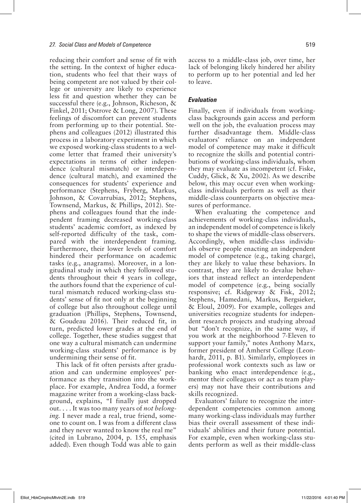reducing their comfort and sense of fit with the setting. In the context of higher education, students who feel that their ways of being competent are not valued by their college or university are likely to experience less fit and question whether they can be successful there (e.g., Johnson, Richeson, & Finkel, 2011; Ostrove & Long, 2007). These feelings of discomfort can prevent students from performing up to their potential. Stephens and colleagues (2012) illustrated this process in a laboratory experiment in which we exposed working-class students to a welcome letter that framed their university's expectations in terms of either independence (cultural mismatch) or interdependence (cultural match), and examined the consequences for students' experience and performance (Stephens, Fryberg, Markus, Johnson, & Covarrubias, 2012; Stephens, Townsend, Markus, & Phillips, 2012). Stephens and colleagues found that the independent framing decreased working-class students' academic comfort, as indexed by self-reported difficulty of the task, compared with the interdependent framing. Furthermore, their lower levels of comfort hindered their performance on academic tasks (e.g., anagrams). Moreover, in a longitudinal study in which they followed students throughout their 4 years in college, the authors found that the experience of cultural mismatch reduced working-class students' sense of fit not only at the beginning of college but also throughout college until graduation (Phillips, Stephens, Townsend, & Goudeau 2016). Their reduced fit, in turn, predicted lower grades at the end of college. Together, these studies suggest that one way a cultural mismatch can undermine working-class students' performance is by undermining their sense of fit.

This lack of fit often persists after graduation and can undermine employees' performance as they transition into the workplace. For example, Andrea Todd, a former magazine writer from a working-class background, explains, "I finally just dropped out. . . . It was too many years of *not belonging.* I never made a real, true friend, someone to count on. I was from a different class and they never wanted to know the real me" (cited in Lubrano, 2004, p. 155, emphasis added). Even though Todd was able to gain

access to a middle-class job, over time, her lack of belonging likely hindered her ability to perform up to her potential and led her to leave.

## *Evaluation*

Finally, even if individuals from workingclass backgrounds gain access and perform well on the job, the evaluation process may further disadvantage them. Middle-class evaluators' reliance on an independent model of competence may make it difficult to recognize the skills and potential contributions of working-class individuals, whom they may evaluate as incompetent (cf. Fiske, Cuddy, Glick, & Xu, 2002). As we describe below, this may occur even when workingclass individuals perform as well as their middle-class counterparts on objective measures of performance.

When evaluating the competence and achievements of working-class individuals, an independent model of competence is likely to shape the views of middle-class observers. Accordingly, when middle-class individuals observe people enacting an independent model of competence (e.g., taking charge), they are likely to value these behaviors. In contrast, they are likely to devalue behaviors that instead reflect an interdependent model of competence (e.g., being socially responsive; cf. Ridgeway & Fisk, 2012; Stephens, Hamedani, Markus, Bergsieker, & Eloul, 2009). For example, colleges and universities recognize students for independent research projects and studying abroad but "don't recognize, in the same way, if you work at the neighborhood 7-Eleven to support your family," notes Anthony Marx, former president of Amherst College (Leonhardt, 2011, p. B1). Similarly, employees in professional work contexts such as law or banking who enact interdependence (e.g., mentor their colleagues or act as team players) may not have their contributions and skills recognized.

Evaluators' failure to recognize the interdependent competencies common among many working-class individuals may further bias their overall assessment of these individuals' abilities and their future potential. For example, even when working-class students perform as well as their middle-class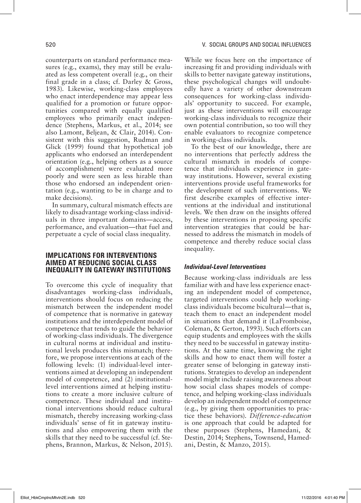counterparts on standard performance measures (e.g., exams), they may still be evaluated as less competent overall (e.g., on their final grade in a class; cf. Darley & Gross, 1983). Likewise, working-class employees who enact interdependence may appear less qualified for a promotion or future opportunities compared with equally qualified employees who primarily enact independence (Stephens, Markus, et al., 2014; see also Lamont, Beljean, & Clair, 2014). Consistent with this suggestion, Rudman and Glick (1999) found that hypothetical job applicants who endorsed an interdependent orientation (e.g., helping others as a source of accomplishment) were evaluated more poorly and were seen as less hirable than those who endorsed an independent orientation (e.g., wanting to be in charge and to make decisions).

In summary, cultural mismatch effects are likely to disadvantage working-class individuals in three important domains—access, performance, and evaluation—that fuel and perpetuate a cycle of social class inequality.

# **IMPLICATIONS FOR INTERVENTIONS AIMED AT REDUCING SOCIAL CLASS INEQUALITY IN GATEWAY INSTITUTIONS**

To overcome this cycle of inequality that disadvantages working-class individuals, interventions should focus on reducing the mismatch between the independent model of competence that is normative in gateway institutions and the interdependent model of competence that tends to guide the behavior of working-class individuals. The divergence in cultural norms at individual and institutional levels produces this mismatch; therefore, we propose interventions at each of the following levels: (1) individual-level interventions aimed at developing an independent model of competence, and (2) institutionallevel interventions aimed at helping institutions to create a more inclusive culture of competence. These individual and institutional interventions should reduce cultural mismatch, thereby increasing working-class individuals' sense of fit in gateway institutions and also empowering them with the skills that they need to be successful (cf. Stephens, Brannon, Markus, & Nelson, 2015).

#### 520 V. SOCIAL GROUPS AND SOCIAL INFLUENCES

While we focus here on the importance of increasing fit and providing individuals with skills to better navigate gateway institutions, these psychological changes will undoubtedly have a variety of other downstream consequences for working-class individuals' opportunity to succeed. For example, just as these interventions will encourage working-class individuals to recognize their own potential contribution, so too will they enable evaluators to recognize competence in working-class individuals.

To the best of our knowledge, there are no interventions that perfectly address the cultural mismatch in models of competence that individuals experience in gateway institutions. However, several existing interventions provide useful frameworks for the development of such interventions. We first describe examples of effective interventions at the individual and institutional levels. We then draw on the insights offered by these interventions in proposing specific intervention strategies that could be harnessed to address the mismatch in models of competence and thereby reduce social class inequality.

# *Individual‑Level Interventions*

Because working-class individuals are less familiar with and have less experience enacting an independent model of competence, targeted interventions could help workingclass individuals become bicultural—that is, teach them to enact an independent model in situations that demand it (LaFromboise, Coleman, & Gerton, 1993). Such efforts can equip students and employees with the skills they need to be successful in gateway institutions. At the same time, knowing the right skills and how to enact them will foster a greater sense of belonging in gateway institutions. Strategies to develop an independent model might include raising awareness about how social class shapes models of competence, and helping working-class individuals develop an independent model of competence (e.g., by giving them opportunities to practice these behaviors). *Difference-education* is one approach that could be adapted for these purposes (Stephens, Hamedani, & Destin, 2014; Stephens, Townsend, Hamedani, Destin, & Manzo, 2015).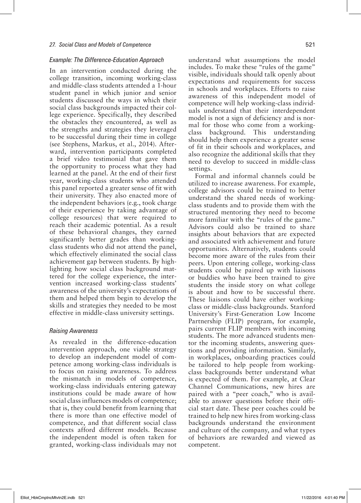#### *Example: The Difference‑Education Approach*

In an intervention conducted during the college transition, incoming working-class and middle-class students attended a 1-hour student panel in which junior and senior students discussed the ways in which their social class backgrounds impacted their college experience. Specifically, they described the obstacles they encountered, as well as the strengths and strategies they leveraged to be successful during their time in college (see Stephens, Markus, et al., 2014). Afterward, intervention participants completed a brief video testimonial that gave them the opportunity to process what they had learned at the panel. At the end of their first year, working-class students who attended this panel reported a greater sense of fit with their university. They also enacted more of the independent behaviors (e.g., took charge of their experience by taking advantage of college resources) that were required to reach their academic potential. As a result of these behavioral changes, they earned significantly better grades than workingclass students who did not attend the panel, which effectively eliminated the social class achievement gap between students. By highlighting how social class background mattered for the college experience, the intervention increased working-class students' awareness of the university's expectations of them and helped them begin to develop the skills and strategies they needed to be most effective in middle-class university settings.

#### *Raising Awareness*

As revealed in the difference-education intervention approach, one viable strategy to develop an independent model of competence among working-class individuals is to focus on raising awareness. To address the mismatch in models of competence, working-class individuals entering gateway institutions could be made aware of how social class influences models of competence; that is, they could benefit from learning that there is more than one effective model of competence, and that different social class contexts afford different models. Because the independent model is often taken for granted, working-class individuals may not

understand what assumptions the model includes. To make these "rules of the game" visible, individuals should talk openly about expectations and requirements for success in schools and workplaces. Efforts to raise awareness of this independent model of competence will help working-class individuals understand that their interdependent model is not a sign of deficiency and is normal for those who come from a workingclass background. This understanding should help them experience a greater sense of fit in their schools and workplaces, and also recognize the additional skills that they need to develop to succeed in middle-class settings.

Formal and informal channels could be utilized to increase awareness. For example, college advisors could be trained to better understand the shared needs of workingclass students and to provide them with the structured mentoring they need to become more familiar with the "rules of the game." Advisors could also be trained to share insights about behaviors that are expected and associated with achievement and future opportunities. Alternatively, students could become more aware of the rules from their peers. Upon entering college, working-class students could be paired up with liaisons or buddies who have been trained to give students the inside story on what college is about and how to be successful there. These liaisons could have either workingclass or middle-class backgrounds. Stanford University's First-Generation Low Income Partnership (FLIP) program, for example, pairs current FLIP members with incoming students. The more advanced students mentor the incoming students, answering questions and providing information. Similarly, in workplaces, onboarding practices could be tailored to help people from workingclass backgrounds better understand what is expected of them. For example, at Clear Channel Communications, new hires are paired with a "peer coach," who is available to answer questions before their official start date. These peer coaches could be trained to help new hires from working-class backgrounds understand the environment and culture of the company, and what types of behaviors are rewarded and viewed as competent.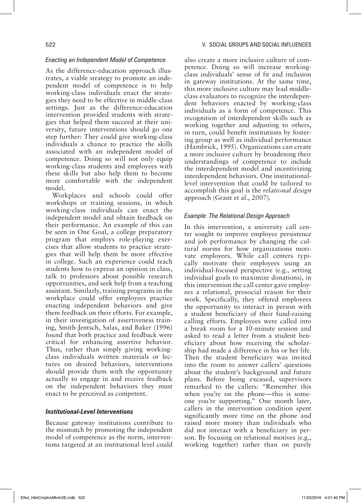#### *Enacting an Independent Model of Competence*

As the difference-education approach illustrates, a viable strategy to promote an independent model of competence is to help working-class individuals enact the strategies they need to be effective in middle-class settings. Just as the difference-education intervention provided students with strategies that helped them succeed at their university, future interventions should go one step further: They could give working-class individuals a chance to practice the skills associated with an independent model of competence. Doing so will not only equip working-class students and employees with these skills but also help them to become more comfortable with the independent model.

Workplaces and schools could offer workshops or training sessions, in which working-class individuals can enact the independent model and obtain feedback on their performance. An example of this can be seen in One Goal, a college preparatory program that employs role-playing exercises that allow students to practice strategies that will help them be more effective in college. Such an experience could teach students how to express an opinion in class, talk to professors about possible research opportunities, and seek help from a teaching assistant. Similarly, training programs in the workplace could offer employees practice enacting independent behaviors and give them feedback on their efforts. For example, in their investigation of assertiveness training, Smith-Jentsch, Salas, and Baker (1996) found that both practice and feedback were critical for enhancing assertive behavior. Thus, rather than simply giving workingclass individuals written materials or lectures on desired behaviors, interventions should provide them with the opportunity actually to engage in and receive feedback on the independent behaviors they must enact to be perceived as competent.

#### *Institutional‑Level Interventions*

Because gateway institutions contribute to the mismatch by promoting the independent model of competence as the norm, interventions targeted at an institutional level could

#### 522 V. SOCIAL GROUPS AND SOCIAL INFLUENCES

also create a more inclusive culture of competence. Doing so will increase workingclass individuals' sense of fit and inclusion in gateway institutions. At the same time, this more inclusive culture may lead middleclass evaluators to recognize the interdependent behaviors enacted by working-class individuals as a form of competence. This recognition of interdependent skills such as working together and adjusting to others, in turn, could benefit institutions by fostering group as well as individual performance (Hambrick, 1995). Organizations can create a more inclusive culture by broadening their understandings of competence to include the interdependent model and incentivizing interdependent behaviors. One institutionallevel intervention that could be tailored to accomplish this goal is the *relational design* approach (Grant et al., 2007).

#### *Example: The Relational Design Approach*

In this intervention, a university call center sought to improve employee persistence and job performance by changing the cultural norms for how organizations motivate employees. While call centers typically motivate their employees using an individual-focused perspective (e.g., setting individual goals to maximize donations), in this intervention the call center gave employees a relational, prosocial reason for their work. Specifically, they offered employees the opportunity to interact in person with a student beneficiary of their fund-raising calling efforts. Employees were called into a break room for a 10-minute session and asked to read a letter from a student beneficiary about how receiving the scholarship had made a difference in his or her life. Then the student beneficiary was invited into the room to answer callers' questions about the student's background and future plans. Before being excused, supervisors remarked to the callers: "Remember this when you're on the phone—this is someone you're supporting." One month later, callers in the intervention condition spent significantly more time on the phone and raised more money than individuals who did not interact with a beneficiary in person. By focusing on relational motives (e.g., working together) rather than on purely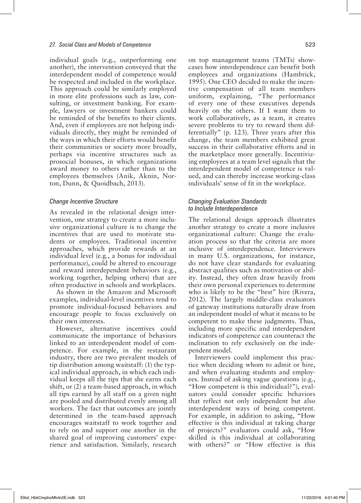individual goals (e.g., outperforming one another), the intervention conveyed that the interdependent model of competence would be respected and included in the workplace. This approach could be similarly employed in more elite professions such as law, consulting, or investment banking. For example, lawyers or investment bankers could be reminded of the benefits to their clients. And, even if employees are not helping individuals directly, they might be reminded of the ways in which their efforts would benefit their communities or society more broadly, perhaps via incentive structures such as prosocial bonuses, in which organizations award money to others rather than to the employees themselves (Anik, Aknin, Norton, Dunn, & Quoidbach, 2013).

#### *Change Incentive Structure*

As revealed in the relational design intervention, one strategy to create a more inclusive organizational culture is to change the incentives that are used to motivate students or employees. Traditional incentive approaches, which provide rewards at an individual level (e.g., a bonus for individual performance), could be altered to encourage and reward interdependent behaviors (e.g., working together, helping others) that are often productive in schools and workplaces.

As shown in the Amazon and Microsoft examples, individual-level incentives tend to promote individual-focused behaviors and encourage people to focus exclusively on their own interests.

However, alternative incentives could communicate the importance of behaviors linked to an interdependent model of competence. For example, in the restaurant industry, there are two prevalent models of tip distribution among waitstaff: (1) the typical individual approach, in which each individual keeps all the tips that she earns each shift, or (2) a team-based approach, in which all tips earned by all staff on a given night are pooled and distributed evenly among all workers. The fact that outcomes are jointly determined in the team-based approach encourages waitstaff to work together and to rely on and support one another in the shared goal of improving customers' experience and satisfaction. Similarly, research

on top management teams (TMTs) showcases how interdependence can benefit both employees and organizations (Hambrick, 1995). One CEO decided to make the incentive compensation of all team members uniform, explaining, "The performance of every one of these executives depends heavily on the others. If I want them to work collaboratively, as a team, it creates severe problems to try to reward them differentially" (p. 123). Three years after this change, the team members exhibited great success in their collaborative efforts and in the marketplace more generally. Incentivizing employees at a team level signals that the interdependent model of competence is valued, and can thereby increase working-class individuals' sense of fit in the workplace.

#### *Changing Evaluation Standards to Include Interdependence*

The relational design approach illustrates another strategy to create a more inclusive organizational culture: Change the evaluation process so that the criteria are more inclusive of interdependence. Interviewers in many U.S. organizations, for instance, do not have clear standards for evaluating abstract qualities such as motivation or ability. Instead, they often draw heavily from their own personal experiences to determine who is likely to be the "best" hire (Rivera, 2012). The largely middle-class evaluators of gateway institutions naturally draw from an independent model of what it means to be competent to make these judgments. Thus, including more specific and interdependent indicators of competence can counteract the inclination to rely exclusively on the independent model.

Interviewers could implement this practice when deciding whom to admit or hire, and when evaluating students and employees. Instead of asking vague questions (e.g., "How competent is this individual?"), evaluators could consider specific behaviors that reflect not only independent but also interdependent ways of being competent. For example, in addition to asking, "How effective is this individual at taking charge of projects?" evaluators could ask, "How skilled is this individual at collaborating with others?" or "How effective is this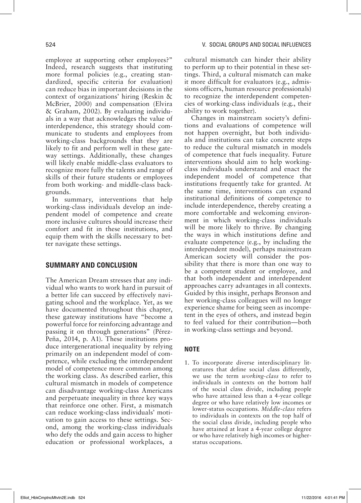employee at supporting other employees?" Indeed, research suggests that instituting more formal policies (e.g., creating standardized, specific criteria for evaluation) can reduce bias in important decisions in the context of organizations' hiring (Reskin & McBrier, 2000) and compensation (Elvira & Graham, 2002). By evaluating individuals in a way that acknowledges the value of interdependence, this strategy should communicate to students and employees from working-class backgrounds that they are likely to fit and perform well in these gateway settings. Additionally, these changes will likely enable middle-class evaluators to recognize more fully the talents and range of skills of their future students or employees from both working- and middle-class backgrounds.

In summary, interventions that help working-class individuals develop an independent model of competence and create more inclusive cultures should increase their comfort and fit in these institutions, and equip them with the skills necessary to better navigate these settings.

# **SUMMARY AND CONCLUSION**

The American Dream stresses that any individual who wants to work hard in pursuit of a better life can succeed by effectively navigating school and the workplace. Yet, as we have documented throughout this chapter, these gateway institutions have "become a powerful force for reinforcing advantage and passing it on through generations" (Pérez-Peña, 2014, p. A1). These institutions produce intergenerational inequality by relying primarily on an independent model of competence, while excluding the interdependent model of competence more common among the working class. As described earlier, this cultural mismatch in models of competence can disadvantage working-class Americans and perpetuate inequality in three key ways that reinforce one other. First, a mismatch can reduce working-class individuals' motivation to gain access to these settings. Second, among the working-class individuals who defy the odds and gain access to higher education or professional workplaces, a cultural mismatch can hinder their ability to perform up to their potential in these settings. Third, a cultural mismatch can make it more difficult for evaluators (e.g., admissions officers, human resource professionals) to recognize the interdependent competencies of working-class individuals (e.g., their ability to work together).

Changes in mainstream society's definitions and evaluations of competence will not happen overnight, but both individuals and institutions can take concrete steps to reduce the cultural mismatch in models of competence that fuels inequality. Future interventions should aim to help workingclass individuals understand and enact the independent model of competence that institutions frequently take for granted. At the same time, interventions can expand institutional definitions of competence to include interdependence, thereby creating a more comfortable and welcoming environment in which working-class individuals will be more likely to thrive. By changing the ways in which institutions define and evaluate competence (e.g., by including the interdependent model), perhaps mainstream American society will consider the possibility that there is more than one way to be a competent student or employee, and that both independent and interdependent approaches carry advantages in all contexts. Guided by this insight, perhaps Bronson and her working-class colleagues will no longer experience shame for being seen as incompetent in the eyes of others, and instead begin to feel valued for their contribution—both in working-class settings and beyond.

# **NOTE**

1. To incorporate diverse interdisciplinary literatures that define social class differently, we use the term *working-class* to refer to individuals in contexts on the bottom half of the social class divide, including people who have attained less than a 4-year college degree or who have relatively low incomes or lower-status occupations. *Middle-class* refers to individuals in contexts on the top half of the social class divide, including people who have attained at least a 4-year college degree or who have relatively high incomes or higherstatus occupations.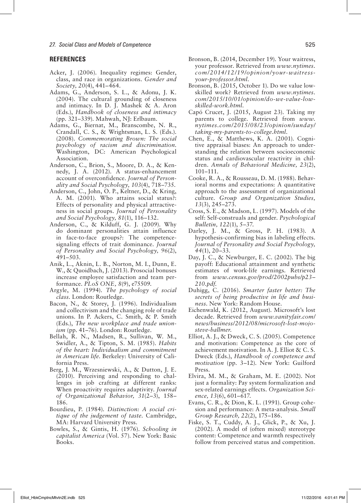#### **REFERENCES**

- Acker, J. (2006). Inequality regimes: Gender, class, and race in organizations. *Gender and Society, 20*(4), 441–464.
- Adams, G., Anderson, S. L., & Adonu, J. K. (2004). The cultural grounding of closeness and intimacy. In D. J. Mashek & A. Aron (Eds.), *Handbook of closeness and intimacy* (pp. 321–339). Mahwah, NJ: Erlbaum.
- Adams, G., Biernat, M., Branscombe, N. R., Crandall, C. S., & Wrightsman, L. S. (Eds.). (2008). *Commemorating Brown: The social psychology of racism and discrimination*. Washington, DC: American Psychological Association.
- Anderson, C., Brion, S., Moore, D. A., & Kennedy, J. A. (2012). A status-enhancement account of overconfidence. *Journal of Personality and Social Psychology, 103*(4), 718–735.
- Anderson, C., John, O. P., Keltner, D., & Kring, A. M. (2001). Who attains social status?: Effects of personality and physical attractiveness in social groups. *Journal of Personality and Social Psychology, 81*(1), 116–132.
- Anderson, C., & Kilduff, G. J. (2009). Why do dominant personalities attain influence in face-to-face groups?: The competencesignaling effects of trait dominance. *Journal of Personality and Social Psychology, 96*(2), 491–503.
- Anik, L., Aknin, L. B., Norton, M. I., Dunn, E. W., & Quoidbach, J. (2013). Prosocial bonuses increase employee satisfaction and team performance. *PLoS ONE, 8*(9), e75509.
- Argyle, M. (1994). *The psychology of social class.* London: Routledge.
- Bacon, N., & Storey, J. (1996). Individualism and collectivism and the changing role of trade unions. In P. Ackers, C. Smith, & P. Smith (Eds.), *The new workplace and trade unionism* (pp. 41–76). London: Routledge.
- Bellah, R. N., Madsen, R., Sullivan, W. M., Swidler, A., & Tipton, S. M. (1985). *Habits of the heart: Individualism and commitment in American life.* Berkeley: University of California Press.
- Berg, J. M., Wrzesniewski, A., & Dutton, J. E. (2010). Perceiving and responding to challenges in job crafting at different ranks: When proactivity requires adaptivity. *Journal of Organizational Behavior, 31*(2–3), 158– 186.
- Bourdieu, P. (1984). *Distinction: A social critique of the judgement of taste.* Cambridge, MA: Harvard University Press.
- Bowles, S., & Gintis, H. (1976). *Schooling in capitalist America* (Vol. 57). New York: Basic Books.
- Bronson, B. (2014, December 19). Your waitress, your professor. Retrieved from *www.nytimes. com/2014/12/19/opinion/your-waitressyour-professor.html.*
- Bronson, B. (2015, October 1). Do we value lowskilled work? Retrieved from *www.nytimes. com/2015/10/01/opinion/do-we-value-lowskilled-work.html.*
- Capó Crucet, J. (2015, August 23). Taking my parents to college. Retrieved from *www. nytimes.com/2015/08/23/opinion/sunday/ taking-my-parents-to-college.html.*
- Chen, E., & Matthews, K. A. (2001). Cognitive appraisal biases: An approach to understanding the relation between socioeconomic status and cardiovascular reactivity in children. *Annals of Behavioral Medicine, 23*(2), 101–111.
- Cooke, R. A., & Rousseau, D. M. (1988). Behavioral norms and expectations: A quantitative approach to the assessment of organizational culture. *Group and Organization Studies, 13*(3), 245–273.
- Cross, S. E., & Madson, L. (1997). Models of the self: Self-construals and gender. *Psychological Bulletin, 122*(1), 5–37.
- Darley, J. M., & Gross, P. H. (1983). A hypothesis-confirming bias in labeling effects. *Journal of Personality and Social Psychology, 44*(1), 20–33.
- Day, J. C., & Newburger, E. C. (2002). The big payoff: Educational attainment and synthetic estimates of work-life earnings. Retrieved from *www.census.gov/prod/2002pubs/p23– 210.pdf.*
- Duhigg, C. (2016). *Smarter faster better: The secrets of being productive in life and business*. New York: Random House.
- Eichenwald, K. (2012, August). Microsoft's lost decade. Retrieved from *www.vanityfair.com/ news/business/2012/08/microsoft-lost-mojosteve-ballmer.*
- Elliot, A. J., & Dweck, C. S. (2005). Competence and motivation: Competence as the core of achievement motivation. In A. J. Elliot & C. S. Dweck (Eds.), *Handbook of competence and motivation* (pp. 3–12). New York: Guilford Press.
- Elvira, M. M., & Graham, M. E. (2002). Not just a formality: Pay system formalization and sex-related earnings effects. *Organization Science, 13*(6), 601–617.
- Evans, C. R., & Dion, K. L. (1991). Group cohesion and performance: A meta-analysis. *Small Group Research, 22*(2), 175–186.
- Fiske, S. T., Cuddy, A. J., Glick, P., & Xu, J. (2002). A model of (often mixed) stereotype content: Competence and warmth respectively follow from perceived status and competition.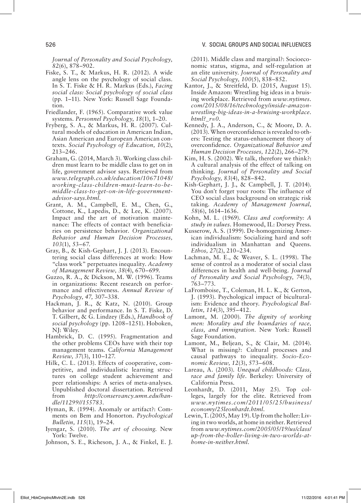*Journal of Personality and Social Psychology, 82*(6), 878–902.

- Fiske, S. T., & Markus, H. R. (2012). A wide angle lens on the psychology of social class. In S. T. Fiske & H. R. Markus (Eds.), *Facing social class: Social psychology of social class* (pp. 1–11)*.* New York: Russell Sage Foundation.
- Friedlander, F. (1965). Comparative work value systems. *Personnel Psychology, 18*(1), 1–20.
- Fryberg, S. A., & Markus, H. R. (2007). Cultural models of education in American Indian, Asian American and European American contexts. *Social Psychology of Education, 10*(2), 213–246.
- Graham, G. (2014, March 3). Working class children must learn to be middle class to get on in life, government advisor says. Retrieved from *www.telegraph.co.uk/education/10671048/ working-class-children-must-learn-to-bemiddle-class-to-get-on-in-life-governmentadvisor-says.html.*
- Grant, A. M., Campbell, E. M., Chen, G., Cottone, K., Lapedis, D., & Lee, K. (2007). Impact and the art of motivation maintenance: The effects of contact with beneficiaries on persistence behavior. *Organizational Behavior and Human Decision Processes, 103*(1), 53–67.
- Gray, B., & Kish-Gephart, J. J. (2013). Encountering social class differences at work: How "class work" perpetuates inequality. *Academy of Management Review, 38*(4), 670–699.
- Guzzo, R. A., & Dickson, M. W. (1996). Teams in organizations: Recent research on performance and effectiveness. *Annual Review of Psychology, 47,* 307–338.
- Hackman, J. R., & Katz, N. (2010). Group behavior and performance. In S. T. Fiske, D. T. Gilbert, & G. Lindzey (Eds.), *Handbook of social psychology* (pp. 1208–1251). Hoboken, NJ: Wiley.
- Hambrick, D. C. (1995). Fragmentation and the other problems CEOs have with their top management teams. *California Management Review, 37*(3), 110–127.
- Hilk, C. L. (2013). Effects of cooperative, competitive, and individualistic learning structures on college student achievement and peer relationships: A series of meta-analyses. Unpublished doctoral dissertation. Retrieved from *http://conservancy.umn.edu/handle/11299//155783.*
- Hyman, R. (1994). Anomaly or artifact?: Comments on Bem and Honorton. *Psychological Bulletin, 115*(1), 19–24.
- Iyengar, S. (2010). *The art of choosing.* New York: Twelve.
- Johnson, S. E., Richeson, J. A., & Finkel, E. J.

(2011). Middle class and marginal?: Socioeconomic status, stigma, and self-regulation at an elite university. *Journal of Personality and Social Psychology, 100*(5), 838–852.

- Kantor, J., & Streitfeld, D. (2015, August 15). Inside Amazon: Wrestling big ideas in a bruising workplace. Retrieved from *www.nytimes. com/2015/08/16/technology/inside-amazonwrestling-big-ideas-in-a-bruising-workplace. html?\_r=0.*
- Kennedy, J. A., Anderson, C., & Moore, D. A. (2013). When overconfidence is revealed to others: Testing the status-enhancement theory of overconfidence. *Organizational Behavior and Human Decision Processes, 122*(2), 266–279.
- Kim, H. S. (2002). We talk, therefore we think?: A cultural analysis of the effect of talking on thinking. *Journal of Personality and Social Psychology, 83*(4), 828–842.
- Kish-Gephart, J. J., & Campbell, J. T. (2014). You don't forget your roots: The influence of CEO social class background on strategic risk taking. *Academy of Management Journal, 58*(6), 1614–1636.
- Kohn, M. L. (1969). *Class and conformity: A study in values.* Homewood, IL: Dorsey Press.
- Kusserow, A. S. (1999). De-homogenizing American individualism: Socializing hard and soft individualism in Manhattan and Queens. *Ethos, 27*(2), 210–234.
- Lachman, M. E., & Weaver, S. L. (1998). The sense of control as a moderator of social class differences in health and well-being. *Journal of Personality and Social Psychology, 74*(3), 763–773*.*
- LaFromboise, T., Coleman, H. L. K., & Gerton, J. (1993). Psychological impact of biculturalism: Evidence and theory. *Psychological Bulletin, 114*(3), 395–412.
- Lamont, M. (2000). *The dignity of working men: Morality and the boundaries of race, class, and immigration*. New York: Russell Sage Foundation.
- Lamont, M., Beljean, S., & Clair, M. (2014). What is missing?: Cultural processes and causal pathways to inequality. *Socio-Economic Review, 12*(3), 573–608.
- Lareau, A. (2003). *Unequal childhoods: Class, race and family life.* Berkeley: University of California Press.
- Leonhardt, D. (2011, May 25). Top colleges, largely for the elite. Retrieved from *www.nytimes.com/2011/05/25/business/ economy/25leonhardt.html.*
- Lewin, T. (2005, May 19). Up from the holler: Living in two worlds, at home in neither. Retrieved from *www.nytimes.com/2005/05/19/us/class/ up-from-the-holler-living-in-two-worlds-athome-in-neither.html.*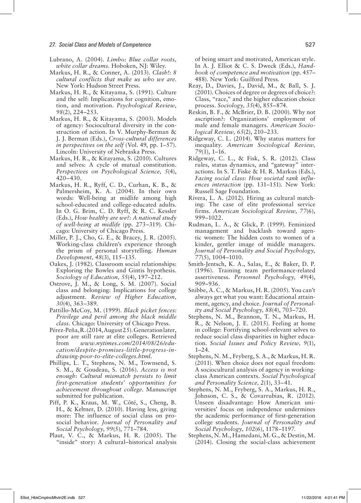- Lubrano, A. (2004). *Limbo: Blue collar roots, white collar dreams.* Hoboken, NJ: Wiley.
- Markus, H. R., & Conner, A. (2013). *Clash!: 8 cultural conflicts that make us who we are*. New York: Hudson Street Press.
- Markus, H. R., & Kitayama, S. (1991). Culture and the self: Implications for cognition, emotion, and motivation. *Psychological Review, 98*(2), 224–253.
- Markus, H. R., & Kitayama, S. (2003). Models of agency: Sociocultural diversity in the construction of action. In V. Murphy-Berman & J. J. Berman (Eds.), *Cross-cultural differences in perspectives on the self* (Vol. 49, pp. 1–57). Lincoln: University of Nebraska Press.
- Markus, H. R., & Kitayama, S. (2010). Cultures and selves: A cycle of mutual constitution. *Perspectives on Psychological Science, 5*(4), 420–430.
- Markus, H. R., Ryff, C. D., Curhan, K. B., & Palmersheim, K. A. (2004). In their own words: Well-being at midlife among high school-educated and college-educated adults. In O. G. Brim, C. D. Ryff, & R. C. Kessler (Eds.), *How healthy are we?: A national study of well-being at midlife* (pp. 273–319). Chicago: University of Chicago Press.
- Miller, P. J., Cho, G. E., & Bracey, J. R. (2005). Working-class children's experience through the prism of personal storytelling. *Human Development, 48*(3), 115–135.
- Oakes, J. (1982). Classroom social relationships: Exploring the Bowles and Gintis hypothesis. *Sociology of Education, 55*(4), 197–212.
- Ostrove, J. M., & Long, S. M. (2007). Social class and belonging: Implications for college adjustment. *Review of Higher Education, 30*(4), 363–389.
- Pattillo-McCoy, M. (1999). *Black picket fences: Privilege and peril among the black middle class.* Chicago: University of Chicago Press.
- Pérez-Peña, R. (2014, August 25). Generation later, poor are still rare at elite colleges. Retrieved from *www.nytimes.com/2014/08/26/education/despite-promises-little-progress-indrawing-poor-to-elite-colleges.html.*
- Phillips, L. T., Stephens, N. M., Townsend, S. S. M., & Goudeau, S. (2016). *Access is not enough: Cultural mismatch persists to limit first-generation students' opportunities for achievement throughout college*. Manuscript submitted for publication*.*
- Piff, P. K., Kraus, M. W., Côté, S., Cheng, B. H., & Keltner, D. (2010). Having less, giving more: The influence of social class on prosocial behavior. *Journal of Personality and Social Psychology, 99*(5), 771–784.
- Plaut, V. C., & Markus, H. R. (2005). The "inside" story: A cultural–historical analysis

of being smart and motivated, American style. In A. J. Elliot & C. S. Dweck (Eds.), *Handbook of competence and motivation* (pp. 457– 488). New York: Guilford Press.

- Reay, D., Davies, J., David, M., & Ball, S. J. (2001). Choices of degree or degrees of choice?: Class, "race," and the higher education choice process. *Sociology, 35*(4), 855–874.
- Reskin, B. F., & McBrier, D. B. (2000). Why not ascription?: Organizations' employment of male and female managers. *American Sociological Review, 65*(2), 210–233.
- Ridgeway, C. L. (2014). Why status matters for inequality. *American Sociological Review, 79*(1), 1–16.
- Ridgeway, C. L., & Fisk, S. R. (2012). Class rules, status dynamics, and "gateway" interactions. In S. T. Fiske & H. R. Markus (Eds.), *Facing social class: How societal rank influences interaction* (pp. 131–151). New York: Russell Sage Foundation.
- Rivera, L. A. (2012). Hiring as cultural matching: The case of elite professional service firms. *American Sociological Review, 77*(6), 999–1022.
- Rudman, L. A., & Glick, P. (1999). Feminized management and backlash toward agentic women: The hidden costs to women of a kinder, gentler image of middle managers. *Journal of Personality and Social Psychology, 77*(5), 1004–1010.
- Smith-Jentsch, K. A., Salas, E., & Baker, D. P. (1996). Training team performance-related assertiveness. *Personnel Psychology, 49*(4), 909–936.
- Snibbe, A. C., & Markus, H. R. (2005). You can't always get what you want: Educational attainment, agency, and choice. *Journal of Personality and Social Psychology, 88*(4), 703–720.
- Stephens, N. M., Brannon, T. N., Markus, H. R., & Nelson, J. E. (2015). Feeling at home in college: Fortifying school-relevant selves to reduce social class disparities in higher education. *Social Issues and Policy Review, 9*(1), 1–24.
- Stephens, N. M., Fryberg, S. A., & Markus, H. R. (2011). When choice does not equal freedom: A sociocultural analysis of agency in workingclass American contexts. *Social Psychological and Personality Science, 2*(1), 33–41.
- Stephens, N. M., Fryberg, S. A., Markus, H. R., Johnson, C. S., & Covarrubias, R. (2012). Unseen disadvantage: How American universities' focus on independence undermines the academic performance of first-generation college students. *Journal of Personality and Social Psychology, 102*(6), 1178–1197.
- Stephens, N. M., Hamedani, M. G., & Destin, M. (2014). Closing the social-class achievement